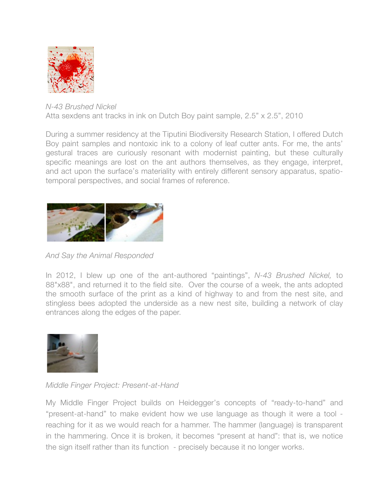

## *N-43 Brushed Nickel* Atta sexdens ant tracks in ink on Dutch Boy paint sample, 2.5" x 2.5", 2010

During a summer residency at the Tiputini Biodiversity Research Station, I offered Dutch Boy paint samples and nontoxic ink to a colony of leaf cutter ants. For me, the ants' gestural traces are curiously resonant with modernist painting, but these culturally specific meanings are lost on the ant authors themselves, as they engage, interpret, and act upon the surface's materiality with entirely different sensory apparatus, spatiotemporal perspectives, and social frames of reference.



*And Say the Animal Responded*

In 2012, I blew up one of the ant-authored "paintings", *N-43 Brushed Nickel,* to 88"x88", and returned it to the field site. Over the course of a week, the ants adopted the smooth surface of the print as a kind of highway to and from the nest site, and stingless bees adopted the underside as a new nest site, building a network of clay entrances along the edges of the paper.



*Middle Finger Project: Present-at-Hand*

My Middle Finger Project builds on Heidegger's concepts of "ready-to-hand" and "present-at-hand" to make evident how we use language as though it were a tool reaching for it as we would reach for a hammer. The hammer (language) is transparent in the hammering. Once it is broken, it becomes "present at hand": that is, we notice the sign itself rather than its function - precisely because it no longer works.